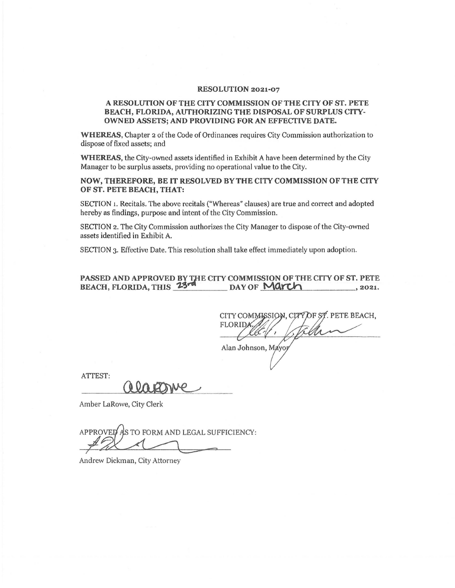## **RESOLUTION 2021-07**

## **A RESOLlITION OF THE CITY COMMISSION OF THE CITY OF ST. PETE BEACH, FLORIDA, AUTHORIZING THE DISPOSAL OF SURPLUS CITY-OWNED ASSETS; AND PROVIDING FOR AN EFFECTIVE DATE.**

**WHEREAS,** Chapter 2 of the Code of Ordinances requires City Commission authorization to dispose of fixed assets; and

**WHEREAS,** the City-owned assets identified in Exhibit A have been determined by the City Manager to be surplus assets, providing no operational value to the City.

**NOW, THEREFORE, BE** IT **RESOLVED BY THE CITY COMMISSION OF THE CITY OF ST. PETE BEACH, THAT:** 

SECTION 1. Recitals. The above recitals ("Whereas" clauses) are true and correct and adopted hereby as findings, purpose and intent of the City Commission.

SECTION 2. The City Commission authorizes the City Manager to dispose of the City-owned assets identified in Exhibit A.

SECTION 3. Effective Date. This resolution shall take effect immediately upon adoption.

## **PASSED AND APPROVED BY THE CITY COMMISSION OF THE CITY OF ST. PETE BEACH, FLORIDA, THIS 23<sup>74</sup> DAY OF MAYCH** BEACH, FLORIDA, THIS 23rd DAY OF March 2021.

CITY COMMISSION, CITY OF ST. PETE BEACH, **FLORIDA** 

ATTEST:

Alan Johnson, March 1997

Amber LaRowe, City Clerk

AS TO FORM AND LEGAL SUFFICIENCY: **APPROVED** 

Andrew Dickman, City Attorney